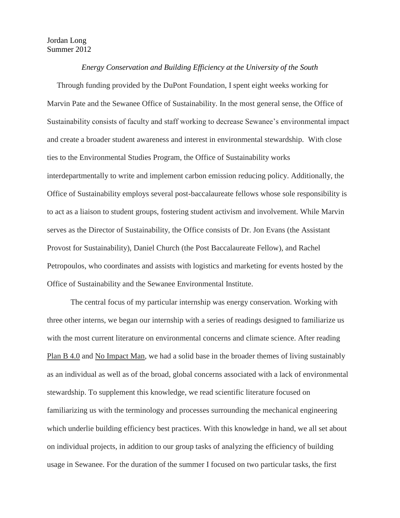## Jordan Long Summer 2012

## *Energy Conservation and Building Efficiency at the University of the South*

 Through funding provided by the DuPont Foundation, I spent eight weeks working for Marvin Pate and the Sewanee Office of Sustainability. In the most general sense, the Office of Sustainability consists of faculty and staff working to decrease Sewanee's environmental impact and create a broader student awareness and interest in environmental stewardship. With close ties to the Environmental Studies Program, the Office of Sustainability works interdepartmentally to write and implement carbon emission reducing policy. Additionally, the Office of Sustainability employs several post-baccalaureate fellows whose sole responsibility is to act as a liaison to student groups, fostering student activism and involvement. While Marvin serves as the Director of Sustainability, the Office consists of Dr. Jon Evans (the Assistant Provost for Sustainability), Daniel Church (the Post Baccalaureate Fellow), and Rachel Petropoulos, who coordinates and assists with logistics and marketing for events hosted by the Office of Sustainability and the Sewanee Environmental Institute.

The central focus of my particular internship was energy conservation. Working with three other interns, we began our internship with a series of readings designed to familiarize us with the most current literature on environmental concerns and climate science. After reading Plan B 4.0 and No Impact Man, we had a solid base in the broader themes of living sustainably as an individual as well as of the broad, global concerns associated with a lack of environmental stewardship. To supplement this knowledge, we read scientific literature focused on familiarizing us with the terminology and processes surrounding the mechanical engineering which underlie building efficiency best practices. With this knowledge in hand, we all set about on individual projects, in addition to our group tasks of analyzing the efficiency of building usage in Sewanee. For the duration of the summer I focused on two particular tasks, the first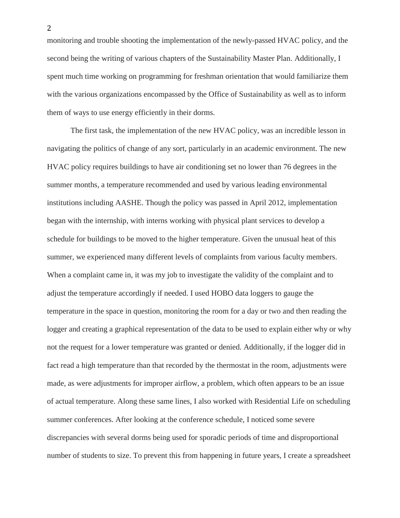monitoring and trouble shooting the implementation of the newly-passed HVAC policy, and the second being the writing of various chapters of the Sustainability Master Plan. Additionally, I spent much time working on programming for freshman orientation that would familiarize them with the various organizations encompassed by the Office of Sustainability as well as to inform them of ways to use energy efficiently in their dorms.

The first task, the implementation of the new HVAC policy, was an incredible lesson in navigating the politics of change of any sort, particularly in an academic environment. The new HVAC policy requires buildings to have air conditioning set no lower than 76 degrees in the summer months, a temperature recommended and used by various leading environmental institutions including AASHE. Though the policy was passed in April 2012, implementation began with the internship, with interns working with physical plant services to develop a schedule for buildings to be moved to the higher temperature. Given the unusual heat of this summer, we experienced many different levels of complaints from various faculty members. When a complaint came in, it was my job to investigate the validity of the complaint and to adjust the temperature accordingly if needed. I used HOBO data loggers to gauge the temperature in the space in question, monitoring the room for a day or two and then reading the logger and creating a graphical representation of the data to be used to explain either why or why not the request for a lower temperature was granted or denied. Additionally, if the logger did in fact read a high temperature than that recorded by the thermostat in the room, adjustments were made, as were adjustments for improper airflow, a problem, which often appears to be an issue of actual temperature. Along these same lines, I also worked with Residential Life on scheduling summer conferences. After looking at the conference schedule, I noticed some severe discrepancies with several dorms being used for sporadic periods of time and disproportional number of students to size. To prevent this from happening in future years, I create a spreadsheet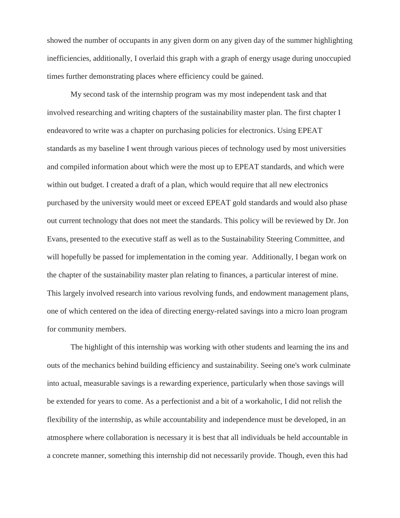showed the number of occupants in any given dorm on any given day of the summer highlighting inefficiencies, additionally, I overlaid this graph with a graph of energy usage during unoccupied times further demonstrating places where efficiency could be gained.

My second task of the internship program was my most independent task and that involved researching and writing chapters of the sustainability master plan. The first chapter I endeavored to write was a chapter on purchasing policies for electronics. Using EPEAT standards as my baseline I went through various pieces of technology used by most universities and compiled information about which were the most up to EPEAT standards, and which were within out budget. I created a draft of a plan, which would require that all new electronics purchased by the university would meet or exceed EPEAT gold standards and would also phase out current technology that does not meet the standards. This policy will be reviewed by Dr. Jon Evans, presented to the executive staff as well as to the Sustainability Steering Committee, and will hopefully be passed for implementation in the coming year. Additionally, I began work on the chapter of the sustainability master plan relating to finances, a particular interest of mine. This largely involved research into various revolving funds, and endowment management plans, one of which centered on the idea of directing energy-related savings into a micro loan program for community members.

The highlight of this internship was working with other students and learning the ins and outs of the mechanics behind building efficiency and sustainability. Seeing one's work culminate into actual, measurable savings is a rewarding experience, particularly when those savings will be extended for years to come. As a perfectionist and a bit of a workaholic, I did not relish the flexibility of the internship, as while accountability and independence must be developed, in an atmosphere where collaboration is necessary it is best that all individuals be held accountable in a concrete manner, something this internship did not necessarily provide. Though, even this had